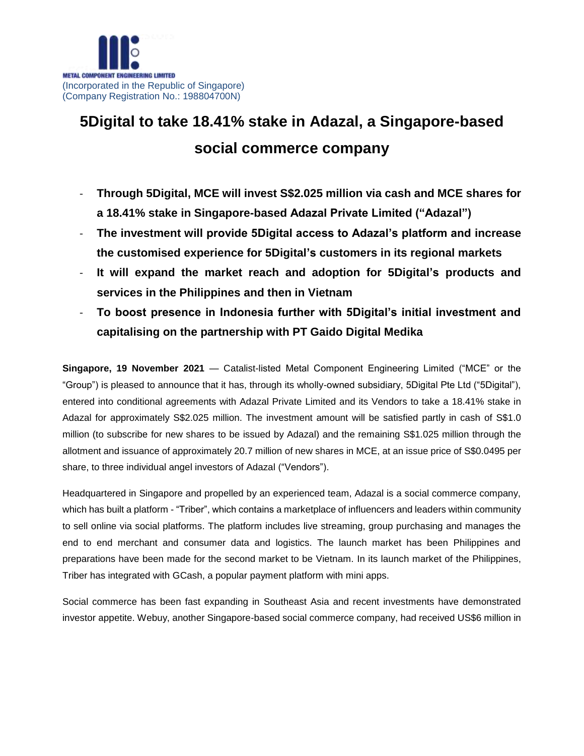

## **5Digital to take 18.41% stake in Adazal, a Singapore-based social commerce company**

- **Through 5Digital, MCE will invest S\$2.025 million via cash and MCE shares for a 18.41% stake in Singapore-based Adazal Private Limited ("Adazal")**
- **The investment will provide 5Digital access to Adazal's platform and increase the customised experience for 5Digital's customers in its regional markets**
- **It will expand the market reach and adoption for 5Digital's products and services in the Philippines and then in Vietnam**
- **To boost presence in Indonesia further with 5Digital's initial investment and capitalising on the partnership with PT Gaido Digital Medika**

**Singapore, 19 November 2021** — Catalist-listed Metal Component Engineering Limited ("MCE" or the "Group") is pleased to announce that it has, through its wholly-owned subsidiary, 5Digital Pte Ltd ("5Digital"), entered into conditional agreements with Adazal Private Limited and its Vendors to take a 18.41% stake in Adazal for approximately S\$2.025 million. The investment amount will be satisfied partly in cash of S\$1.0 million (to subscribe for new shares to be issued by Adazal) and the remaining S\$1.025 million through the allotment and issuance of approximately 20.7 million of new shares in MCE, at an issue price of S\$0.0495 per share, to three individual angel investors of Adazal ("Vendors").

Headquartered in Singapore and propelled by an experienced team, Adazal is a social commerce company, which has built a platform - "Triber", which contains a marketplace of influencers and leaders within community to sell online via social platforms. The platform includes live streaming, group purchasing and manages the end to end merchant and consumer data and logistics. The launch market has been Philippines and preparations have been made for the second market to be Vietnam. In its launch market of the Philippines, Triber has integrated with GCash, a popular payment platform with mini apps.

Social commerce has been fast expanding in Southeast Asia and recent investments have demonstrated investor appetite. Webuy, another Singapore-based social commerce company, had received US\$6 million in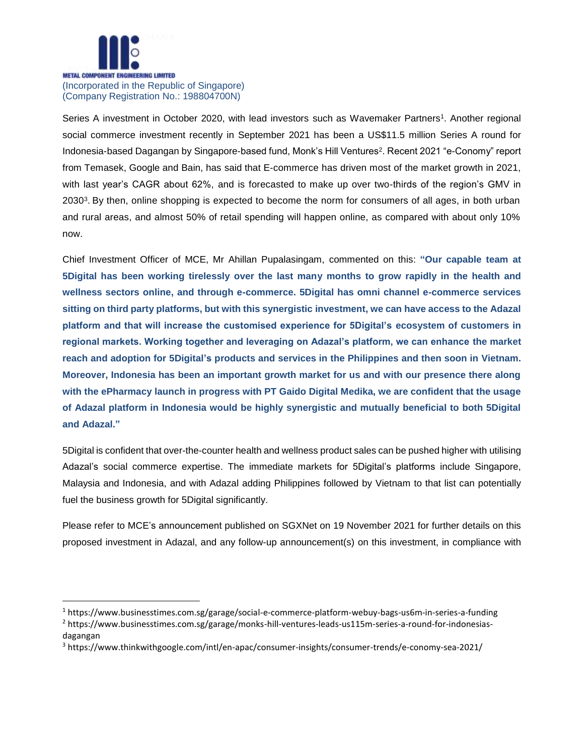

 $\overline{a}$ 

Series A investment in October 2020, with lead investors such as Wavemaker Partners<sup>1</sup>. Another regional social commerce investment recently in September 2021 has been a US\$11.5 million Series A round for Indonesia-based Dagangan by Singapore-based fund, Monk's Hill Ventures<sup>2</sup>. Recent 2021 "e-Conomy" report from Temasek, Google and Bain, has said that E-commerce has driven most of the market growth in 2021, with last year's CAGR about 62%, and is forecasted to make up over two-thirds of the region's GMV in 2030<sup>3</sup>. By then, online shopping is expected to become the norm for consumers of all ages, in both urban and rural areas, and almost 50% of retail spending will happen online, as compared with about only 10% now.

Chief Investment Officer of MCE, Mr Ahillan Pupalasingam, commented on this: **"Our capable team at 5Digital has been working tirelessly over the last many months to grow rapidly in the health and wellness sectors online, and through e-commerce. 5Digital has omni channel e-commerce services sitting on third party platforms, but with this synergistic investment, we can have access to the Adazal platform and that will increase the customised experience for 5Digital's ecosystem of customers in regional markets. Working together and leveraging on Adazal's platform, we can enhance the market reach and adoption for 5Digital's products and services in the Philippines and then soon in Vietnam. Moreover, Indonesia has been an important growth market for us and with our presence there along with the ePharmacy launch in progress with PT Gaido Digital Medika, we are confident that the usage of Adazal platform in Indonesia would be highly synergistic and mutually beneficial to both 5Digital and Adazal."** 

5Digital is confident that over-the-counter health and wellness product sales can be pushed higher with utilising Adazal's social commerce expertise. The immediate markets for 5Digital's platforms include Singapore, Malaysia and Indonesia, and with Adazal adding Philippines followed by Vietnam to that list can potentially fuel the business growth for 5Digital significantly.

Please refer to MCE's announcement published on SGXNet on 19 November 2021 for further details on this proposed investment in Adazal, and any follow-up announcement(s) on this investment, in compliance with

<sup>1</sup> https://www.businesstimes.com.sg/garage/social-e-commerce-platform-webuy-bags-us6m-in-series-a-funding

<sup>2</sup> https://www.businesstimes.com.sg/garage/monks-hill-ventures-leads-us115m-series-a-round-for-indonesiasdagangan

<sup>3</sup> https://www.thinkwithgoogle.com/intl/en-apac/consumer-insights/consumer-trends/e-conomy-sea-2021/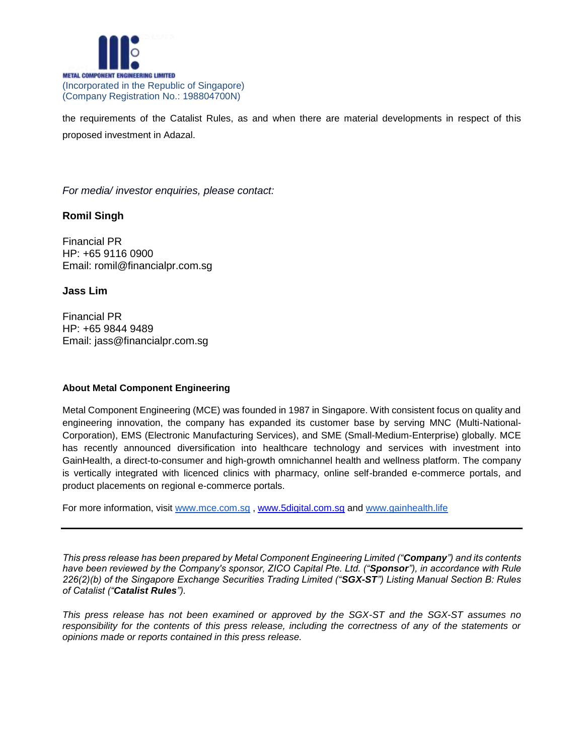

the requirements of the Catalist Rules, as and when there are material developments in respect of this proposed investment in Adazal.

*For media/ investor enquiries, please contact:* 

## **Romil Singh**

Financial PR HP: +65 9116 0900 Email: romil@financialpr.com.sg

## **Jass Lim**

Financial PR HP: +65 9844 9489 Email: jass@financialpr.com.sg

## **About Metal Component Engineering**

Metal Component Engineering (MCE) was founded in 1987 in Singapore. With consistent focus on quality and engineering innovation, the company has expanded its customer base by serving MNC (Multi-National-Corporation), EMS (Electronic Manufacturing Services), and SME (Small-Medium-Enterprise) globally. MCE has recently announced diversification into healthcare technology and services with investment into GainHealth, a direct-to-consumer and high-growth omnichannel health and wellness platform. The company is vertically integrated with licenced clinics with pharmacy, online self-branded e-commerce portals, and product placements on regional e-commerce portals.

For more information, visit [www.mce.com.sg](http://www.mce.com.sg/) , [www.5digital.com.sg](http://www.5digital.com.sg/) and www.gainhealth.life

*This press release has been prepared by Metal Component Engineering Limited ("Company") and its contents have been reviewed by the Company's sponsor, ZICO Capital Pte. Ltd. ("Sponsor"), in accordance with Rule 226(2)(b) of the Singapore Exchange Securities Trading Limited ("SGX-ST") Listing Manual Section B: Rules of Catalist ("Catalist Rules").* 

*This press release has not been examined or approved by the SGX-ST and the SGX-ST assumes no responsibility for the contents of this press release, including the correctness of any of the statements or opinions made or reports contained in this press release.*